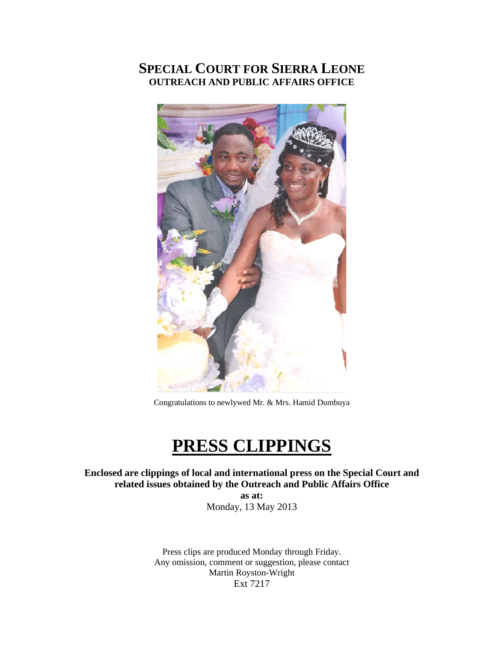# **SPECIAL COURT FOR SIERRA LEONE OUTREACH AND PUBLIC AFFAIRS OFFICE**



Congratulations to newlywed Mr. & Mrs. Hamid Dumbuya

# **PRESS CLIPPINGS**

**Enclosed are clippings of local and international press on the Special Court and related issues obtained by the Outreach and Public Affairs Office** 

> **as at:**  Monday, 13 May 2013

Press clips are produced Monday through Friday. Any omission, comment or suggestion, please contact Martin Royston-Wright Ext 7217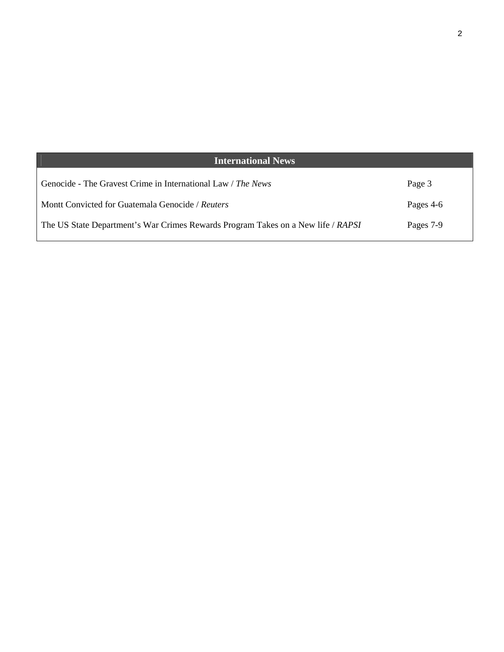| <b>International News</b>                                                        |           |
|----------------------------------------------------------------------------------|-----------|
| Genocide - The Gravest Crime in International Law / The News                     | Page 3    |
| Montt Convicted for Guatemala Genocide / Reuters                                 | Pages 4-6 |
| The US State Department's War Crimes Rewards Program Takes on a New life / RAPSI | Pages 7-9 |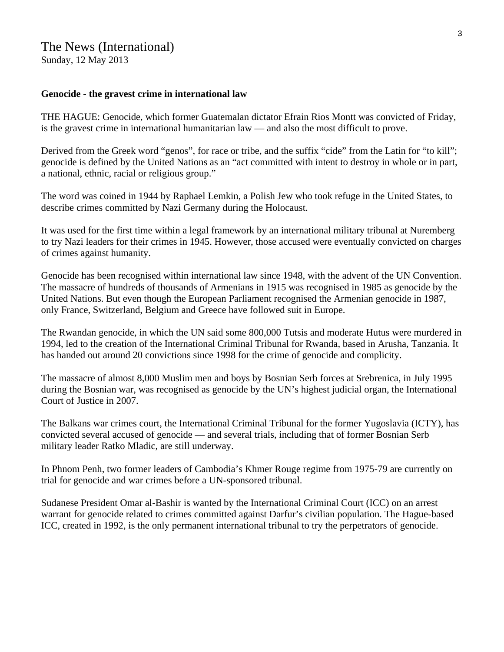## The News (International) Sunday, 12 May 2013

#### **Genocide - the gravest crime in international law**

THE HAGUE: Genocide, which former Guatemalan dictator Efrain Rios Montt was convicted of Friday, is the gravest crime in international humanitarian law — and also the most difficult to prove.

Derived from the Greek word "genos", for race or tribe, and the suffix "cide" from the Latin for "to kill"; genocide is defined by the United Nations as an "act committed with intent to destroy in whole or in part, a national, ethnic, racial or religious group."

The word was coined in 1944 by Raphael Lemkin, a Polish Jew who took refuge in the United States, to describe crimes committed by Nazi Germany during the Holocaust.

It was used for the first time within a legal framework by an international military tribunal at Nuremberg to try Nazi leaders for their crimes in 1945. However, those accused were eventually convicted on charges of crimes against humanity.

Genocide has been recognised within international law since 1948, with the advent of the UN Convention. The massacre of hundreds of thousands of Armenians in 1915 was recognised in 1985 as genocide by the United Nations. But even though the European Parliament recognised the Armenian genocide in 1987, only France, Switzerland, Belgium and Greece have followed suit in Europe.

The Rwandan genocide, in which the UN said some 800,000 Tutsis and moderate Hutus were murdered in 1994, led to the creation of the International Criminal Tribunal for Rwanda, based in Arusha, Tanzania. It has handed out around 20 convictions since 1998 for the crime of genocide and complicity.

The massacre of almost 8,000 Muslim men and boys by Bosnian Serb forces at Srebrenica, in July 1995 during the Bosnian war, was recognised as genocide by the UN's highest judicial organ, the International Court of Justice in 2007.

The Balkans war crimes court, the International Criminal Tribunal for the former Yugoslavia (ICTY), has convicted several accused of genocide — and several trials, including that of former Bosnian Serb military leader Ratko Mladic, are still underway.

In Phnom Penh, two former leaders of Cambodia's Khmer Rouge regime from 1975-79 are currently on trial for genocide and war crimes before a UN-sponsored tribunal.

Sudanese President Omar al-Bashir is wanted by the International Criminal Court (ICC) on an arrest warrant for genocide related to crimes committed against Darfur's civilian population. The Hague-based ICC, created in 1992, is the only permanent international tribunal to try the perpetrators of genocide.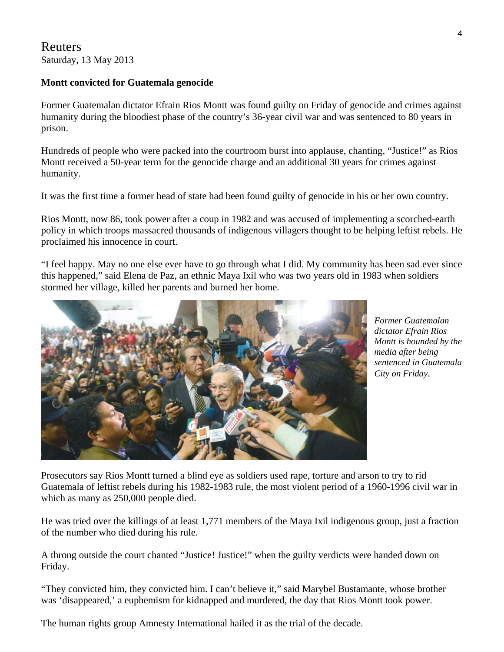Reuters Saturday, 13 May 2013

## **Montt convicted for Guatemala genocide**

Former Guatemalan dictator Efrain Rios Montt was found guilty on Friday of genocide and crimes against humanity during the bloodiest phase of the country's 36-year civil war and was sentenced to 80 years in prison.

Hundreds of people who were packed into the courtroom burst into applause, chanting, "Justice!" as Rios Montt received a 50-year term for the genocide charge and an additional 30 years for crimes against humanity.

It was the first time a former head of state had been found guilty of genocide in his or her own country.

Rios Montt, now 86, took power after a coup in 1982 and was accused of implementing a scorched-earth policy in which troops massacred thousands of indigenous villagers thought to be helping leftist rebels. He proclaimed his innocence in court.

"I feel happy. May no one else ever have to go through what I did. My community has been sad ever since this happened," said Elena de Paz, an ethnic Maya Ixil who was two years old in 1983 when soldiers stormed her village, killed her parents and burned her home.



*Former Guatemalan dictator Efrain Rios Montt is hounded by t he media after being sentenced in G uatemala City on Friday*.

Prosecutors say Rios Montt turned a blind eye as soldiers used rape, torture and arson to try to rid Guatemala of leftist rebels during his 1982-1983 rule, the most violent period of a 1960-1996 civil war in which as many as 250,000 people died.

He was tried over the killings of at least 1,771 members of the Maya Ixil indigenous group, just a fraction of the number who died during his rule.

A throng outside the court chanted "Justice! Justice!" when the guilty verdicts were handed down on Friday.

"They convicted him, they convicted him. I can't believe it," said Marybel Bustamante, whose brother was 'disappeared,' a euphemism for kidnapped and murdered, the day that Rios Montt took power.

The human rights group Amnesty International hailed it as the trial of the decade.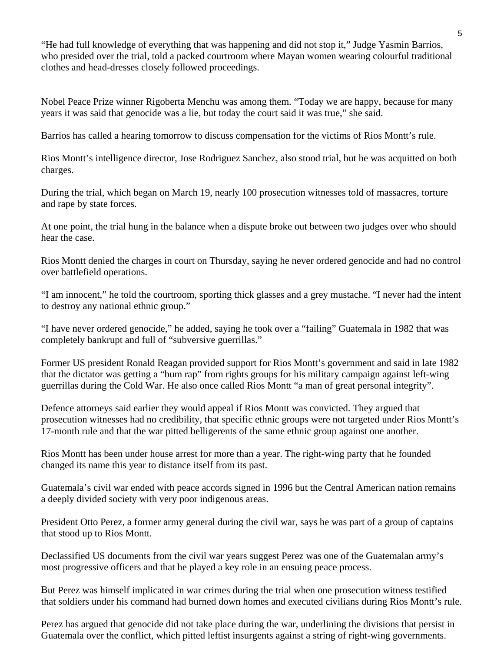"He had full knowledge of everything that was happening and did not stop it," Judge Yasmin Barrios, who presided over the trial, told a packed courtroom where Mayan women wearing colourful traditional clothes and head-dresses closely followed proceedings.

Nobel Peace Prize winner Rigoberta Menchu was among them. "Today we are happy, because for many years it was said that genocide was a lie, but today the court said it was true," she said.

Barrios has called a hearing tomorrow to discuss compensation for the victims of Rios Montt's rule.

Rios Montt's intelligence director, Jose Rodriguez Sanchez, also stood trial, but he was acquitted on both charges.

During the trial, which began on March 19, nearly 100 prosecution witnesses told of massacres, torture and rape by state forces.

At one point, the trial hung in the balance when a dispute broke out between two judges over who should hear the case.

Rios Montt denied the charges in court on Thursday, saying he never ordered genocide and had no control over battlefield operations.

"I am innocent," he told the courtroom, sporting thick glasses and a grey mustache. "I never had the intent to destroy any national ethnic group."

"I have never ordered genocide," he added, saying he took over a "failing" Guatemala in 1982 that was completely bankrupt and full of "subversive guerrillas."

Former US president Ronald Reagan provided support for Rios Montt's government and said in late 1982 that the dictator was getting a "bum rap" from rights groups for his military campaign against left-wing guerrillas during the Cold War. He also once called Rios Montt "a man of great personal integrity".

Defence attorneys said earlier they would appeal if Rios Montt was convicted. They argued that prosecution witnesses had no credibility, that specific ethnic groups were not targeted under Rios Montt's 17-month rule and that the war pitted belligerents of the same ethnic group against one another.

Rios Montt has been under house arrest for more than a year. The right-wing party that he founded changed its name this year to distance itself from its past.

Guatemala's civil war ended with peace accords signed in 1996 but the Central American nation remains a deeply divided society with very poor indigenous areas.

President Otto Perez, a former army general during the civil war, says he was part of a group of captains that stood up to Rios Montt.

Declassified US documents from the civil war years suggest Perez was one of the Guatemalan army's most progressive officers and that he played a key role in an ensuing peace process.

But Perez was himself implicated in war crimes during the trial when one prosecution witness testified that soldiers under his command had burned down homes and executed civilians during Rios Montt's rule.

Perez has argued that genocide did not take place during the war, underlining the divisions that persist in Guatemala over the conflict, which pitted leftist insurgents against a string of right-wing governments.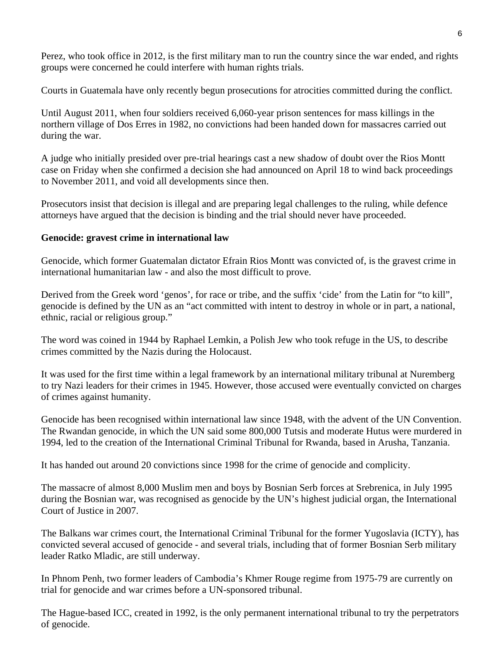Perez, who took office in 2012, is the first military man to run the country since the war ended, and rights groups were concerned he could interfere with human rights trials.

Courts in Guatemala have only recently begun prosecutions for atrocities committed during the conflict.

northern village of Dos Erres in 1982, no convictions had been handed down for massacres carried out Until August 2011, when four soldiers received 6,060-year prison sentences for mass killings in the during the war.

A judge who initially presided over pre-trial hearings cast a new shadow of doubt over the Rios Montt case on Friday when she confirmed a decision she had announced on April 18 to wind back proceedings to November 2011, and void all developments since then.

Prosecutors insist that decision is illegal and are preparing legal challenges to the ruling, while defence attorneys have argued that the decision is binding and the trial should never have proceeded.

#### **Genocide: gravest crime in international law**

Genocide, which former Guatemalan dictator Efrain Rios Montt was convicted of, is the gravest crime in international humanitarian law - and also the most difficult to prove.

Derived from the Greek word 'genos', for race or tribe, and the suffix 'cide' from the Latin for "to kill", genocide is defined by the UN as an "act committed with intent to destroy in whole or in part, a national, ethnic, racial or religious group."

The word was coined in 1944 by Raphael Lemkin, a Polish Jew who took refuge in the US, to describe crimes committed by the Nazis during the Holocaust.

It was used for the first time within a legal framework by an international military tribunal at Nuremberg to try Nazi leaders for their crimes in 1945. However, those accused were eventually convicted on charges of crimes against humanity.

Genocide has been recognised within international law since 1948, with the advent of the UN Convention. The Rwandan genocide, in which the UN said some 800,000 Tutsis and moderate Hutus were murdered in 1994, led to the creation of the International Criminal Tribunal for Rwanda, based in Arusha, Tanzania.

It has handed out around 20 convictions since 1998 for the crime of genocide and complicity.

The massacre of almost 8,000 Muslim men and boys by Bosnian Serb forces at Srebrenica, in July 1995 during the Bosnian war, was recognised as genocide by the UN's highest judicial organ, the International Court of Justice in 2007.

The Balkans war crimes court, the International Criminal Tribunal for the former Yugoslavia (ICTY), has onvicted several accused of genocide - and several trials, including that of former Bosnian Serb military c leader Ratko Mladic, are still underway.

In Phnom Penh, two former leaders of Cambodia's Khmer Rouge regime from 1975-79 are currently on trial for genocide and war crimes before a UN-sponsored tribunal.

The Hague-based ICC, created in 1992, is the only permanent international tribunal to try the perpetrators of genocide.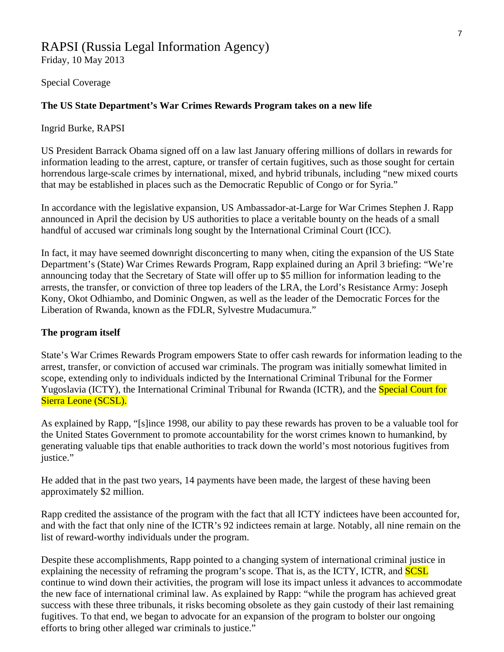# RAPSI (Russia Legal Information Agency)

Friday, 10 May 2013

Special Coverage

#### **The US State Department's War Crimes Rewards Program takes on a new life**

#### Ingrid Burke, RAPSI

US President Barrack Obama signed off on a law last January offering millions of dollars in rewards for information leading to the arrest, capture, or transfer of certain fugitives, such as those sought for certain horrendous large-scale crimes by international, mixed, and hybrid tribunals, including "new mixed courts that may be established in places such as the Democratic Republic of Congo or for Syria."

announced in April the decision by US authorities to place a veritable bounty on the heads of a small handful of accused war criminals long sought by the International Criminal Court (ICC). In accordance with the legislative expansion, US Ambassador-at-Large for War Crimes Stephen J. Rapp

In fact, it may have seemed downright disconcerting to many when, citing the expansion of the US State Department's (State) War Crimes Rewards Program, Rapp explained during an April 3 briefing: "We're nnouncing today that the Secretary of State will offer up to \$5 million for information leading to the a arrests, the transfer, or conviction of three top leaders of the LRA, the Lord's Resistance Army: Joseph Kony, Okot Odhiambo, and Dominic Ongwen, as well as the leader of the Democratic Forces for the Liberation of Rwanda, known as the FDLR, Sylvestre Mudacumura."

#### **The program itself**

State's War Crimes Rewards Program empowers State to offer cash rewards for information leading to the arrest, transfer, or conviction of accused war criminals. The program was initially somewhat limited in scope, extending only to individuals indicted by the International Criminal Tribunal for the Former Yugoslavia (ICTY), the International Criminal Tribunal for Rwanda (ICTR), and the Special Court for Sierra Leone (SCSL).

As explained by Rapp, "[s]ince 1998, our ability to pay these rewards has proven to be a valuable tool fo r the United States Gove rnment to promote accountability for the worst crimes known to humankind, by generating valuable tips that enable authorities to track down the world's most notorious fugitives from justice."

approximately \$2 million. He added that in the past two years, 14 payments have been made, the largest of these having been

Rapp credited the assistance of the program with the fact that all ICTY indictees have been accounted for, and with the fact that only nine of the ICTR's 92 indictees remain at large. Notably, all nine remain on the list of reward-worthy individuals under the program.

Despite these accomplishments, Rapp pointed to a changing system of international criminal justice in explaining the necessity of reframing the program's scope. That is, as the ICTY, ICTR, and **SCSL** continue to wind down their activities, the program will lose its impact unless it advances to accommodate the new face of international criminal law. As explained by Rapp: "while the program has achieved great success with these three tribunals, it risks becoming obsolete as they gain custody of their last remaining fugitives. To that end, we began to advocate for an expansion of the program to bolster our ongoing efforts to bring other alleged war criminals to justice."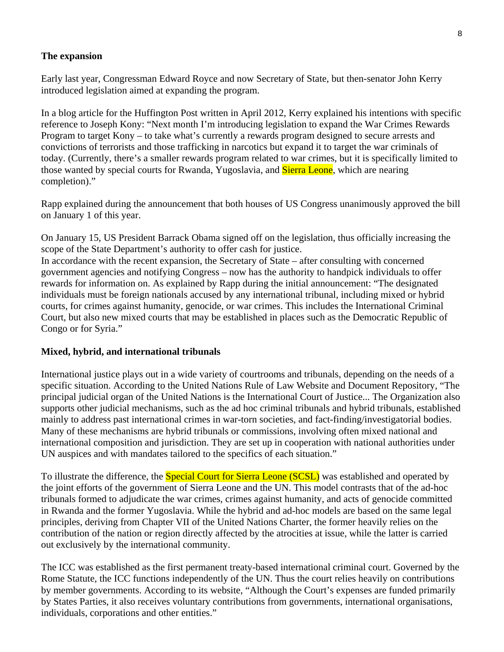#### **The expansion**

Early last year, Congressman Edward Royce and now Secretary of State, but then-senator John Kerry introduced legislation aimed at expanding the program.

In a blog article for the Huffington Post written in April 2012, Kerry explained his intentions with specific reference to Joseph Kony: "Next month I'm introducing legislation to expand the War Crimes Rewards Program to target Kony – to take what's currently a rewards program designed to secure arrests and convictions of terrorists and those trafficking in narcotics but expand it to target the war criminals of today. (Currently, there's a smaller rewards program related to war crimes, but it is specifically limited to those wanted by special courts for Rwanda, Yugoslavia, and **Sierra Leone**, which are nearing completion)."

Rapp explained during the announcement that both houses of US Congress unanimously approved the bill on January 1 of this year.

scope of the State Department's authority to offer cash for justice. On January 15, US President Barrack Obama signed off on the legislation, thus officially increasing the

In accordance with the recent expansion, the Secretary of State – after consulting with concerned rewards for information on. As explained by Rapp during the initial announcement: "The designated individuals must be foreign nationals accused by any international tribunal, including mixed or hybrid Court, but also new mixed courts that may be established in places such as the Democratic Republic of government agencies and notifying Congress – now has the authority to handpick individuals to offer courts, for crimes against humanity, genocide, or war crimes. This includes the International Criminal Congo or for Syria."

#### **Mixed, hybrid, and international tribunals**

International justice plays out in a wide variety of courtrooms and tribunals, depending on the needs of a specific situation. According to the United Nations Rule of Law Website and Document Repository, "The principal judicial organ of the United Nations is the International Court of Justice... The Organization also supports other judicial mechanisms, such as the ad hoc criminal tribunals and hybrid tribunals, established mainly to address past international crimes in war-torn societies, and fact-finding/investigatorial bodies. Many of these mechanisms are hybrid tribunals or commissions, involving often mixed national and international composition and jurisdiction. They are set up in cooperation with national authorities under UN auspices and with mandates tailored to the specifics of each situation."

To illustrate the difference, the **Special Court for Sierra Leone (SCSL)** was established and operated by the joint efforts of the government of Sierra Leone and the UN. This model contrasts that of the ad-hoc tribunals formed to adjudicate the war crimes, crimes against humanity, and acts of genocide committed in Rwanda and the former Yugoslavia. While the hybrid and ad-hoc models are based on the same legal principles, deriving from Chapter VII of the United Nations Charter, the former heavily relies on the contribution of the nation or region directly affected by the atrocities at issue, while the latter is carried out exclusively by the international community.

The ICC was established as the first permanent treaty-based international criminal court. Governed by the Rome Statute, the ICC functions independently of the UN. Thus the court relies heavily on contributions by member governments. According to its website, "Although the Court's expenses are funded primarily by States Parties, it also receives voluntary contributions from governments, international organisations, individuals, corporations and other entities."